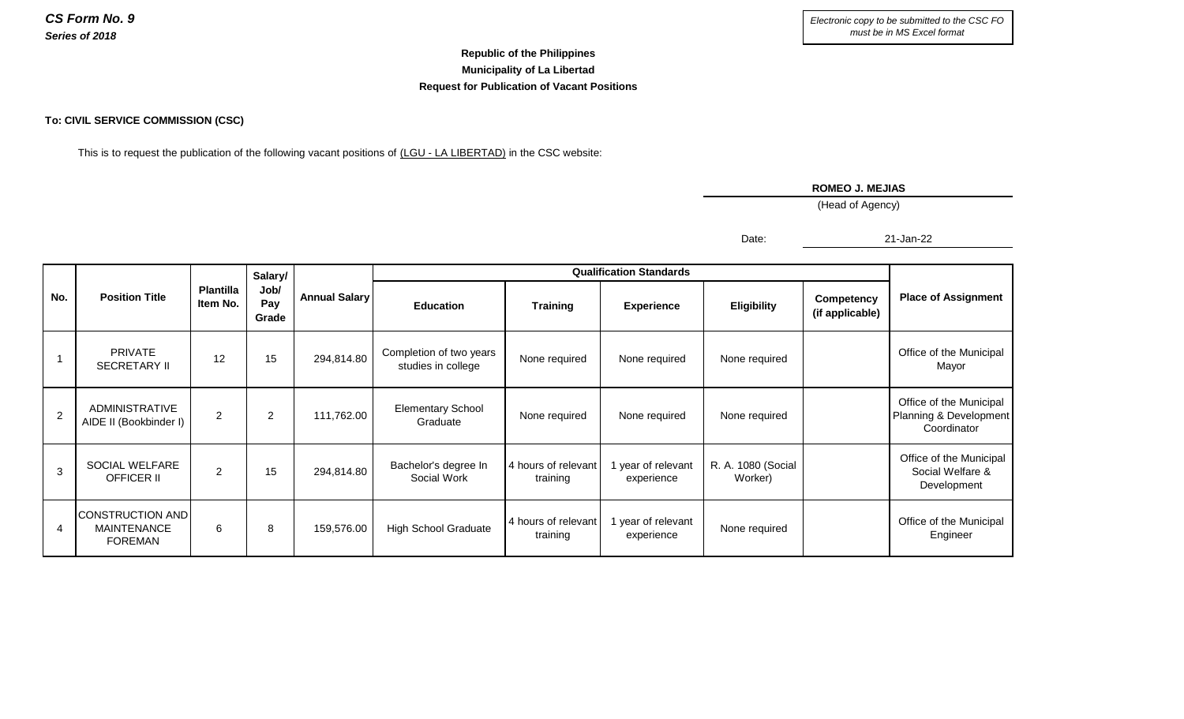## **Republic of the Philippines Municipality of La Libertad Request for Publication of Vacant Positions**

## **To: CIVIL SERVICE COMMISSION (CSC)**

This is to request the publication of the following vacant positions of (LGU - LA LIBERTAD) in the CSC website:

## **ROMEO J. MEJIAS**

(Head of Agency)

Date:

21-Jan-22

| No.          | <b>Position Title</b>                                    | <b>Plantilla</b><br>Item No. | Salary/<br>Job/<br>Pay<br>Grade | <b>Annual Salary</b> | <b>Qualification Standards</b>                |                                 |                                |                               |                               |                                                                  |
|--------------|----------------------------------------------------------|------------------------------|---------------------------------|----------------------|-----------------------------------------------|---------------------------------|--------------------------------|-------------------------------|-------------------------------|------------------------------------------------------------------|
|              |                                                          |                              |                                 |                      | <b>Education</b>                              | <b>Training</b>                 | <b>Experience</b>              | <b>Eligibility</b>            | Competency<br>(if applicable) | <b>Place of Assignment</b>                                       |
|              | <b>PRIVATE</b><br><b>SECRETARY II</b>                    | 12                           | 15                              | 294,814.80           | Completion of two years<br>studies in college | None required                   | None required                  | None required                 |                               | Office of the Municipal<br>Mayor                                 |
| 2            | <b>ADMINISTRATIVE</b><br>AIDE II (Bookbinder I)          | $\overline{2}$               | 2                               | 111,762.00           | <b>Elementary School</b><br>Graduate          | None required                   | None required                  | None required                 |                               | Office of the Municipal<br>Planning & Development<br>Coordinator |
| $\mathbf{3}$ | SOCIAL WELFARE<br><b>OFFICER II</b>                      | $\overline{2}$               | 15                              | 294,814.80           | Bachelor's degree In<br>Social Work           | 4 hours of relevant<br>training | year of relevant<br>experience | R. A. 1080 (Social<br>Worker) |                               | Office of the Municipal<br>Social Welfare &<br>Development       |
| 4            | CONSTRUCTION AND<br><b>MAINTENANCE</b><br><b>FOREMAN</b> | 6                            | 8                               | 159,576.00           | <b>High School Graduate</b>                   | 4 hours of relevant<br>training | year of relevant<br>experience | None required                 |                               | Office of the Municipal<br>Engineer                              |